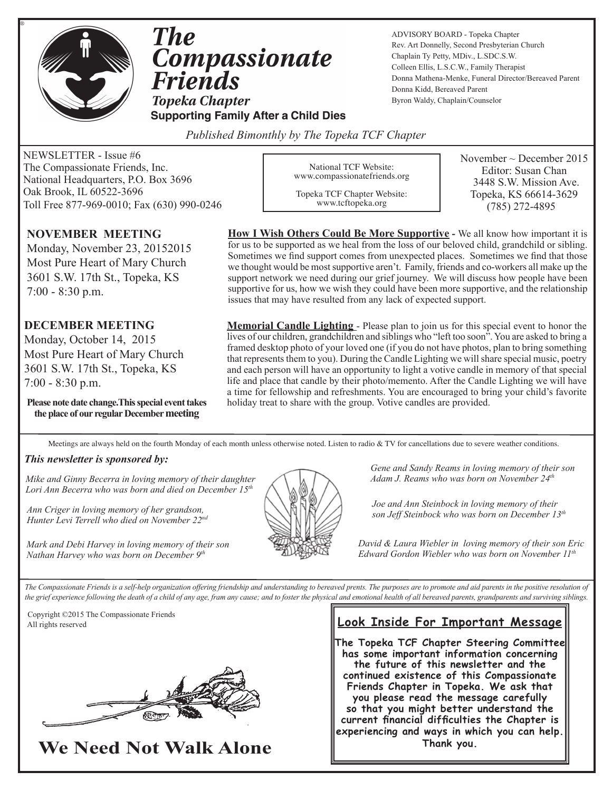

®

**The Compassionate Friends Topeka Chapter** 

**Supporting Family After a Child Dies** 

ADVISORY BOARD - Topeka Chapter Rev. Art Donnelly, Second Presbyterian Church Chaplain Ty Petty, MDiv., L.SDC.S.W. Colleen Ellis, L.S.C.W., Family Therapist Donna Mathena-Menke, Funeral Director/Bereaved Parent Donna Kidd, Bereaved Parent Byron Waldy, Chaplain/Counselor

*Published Bimonthly by The Topeka TCF Chapter* 

NEWSLETTER - Issue #6 The Compassionate Friends, Inc. National Headquarters, P.O. Box 3696 Oak Brook, IL 60522-3696 Toll Free 877-969-0010; Fax (630) 990-0246

### **NOVEMBER MEETING**

Monday, November 23, 20152015 Most Pure Heart of Mary Church 3601 S.W. 17th St., Topeka, KS 7:00 - 8:30 p.m.

### **DECEMBER MEETING**

Monday, October 14, 2015 Most Pure Heart of Mary Church 3601 S.W. 17th St., Topeka, KS 7:00 - 8:30 p.m.

**Please note date change.This special event takes the place of our regular December meeting**

National TCF Website: www.compassionatefriends.org

Topeka TCF Chapter Website: www.tcftopeka.org

November  $\sim$  December 2015 Editor: Susan Chan 3448 S.W. Mission Ave. Topeka, KS 66614-3629 (785) 272-4895

**How I Wish Others Could Be More Supportive -** We all know how important it is for us to be supported as we heal from the loss of our beloved child, grandchild or sibling. Sometimes we find support comes from unexpected places. Sometimes we find that those we thought would be most supportive aren't. Family, friends and co-workers all make up the support network we need during our grief journey. We will discuss how people have been supportive for us, how we wish they could have been more supportive, and the relationship issues that may have resulted from any lack of expected support.

**Memorial Candle Lighting** - Please plan to join us for this special event to honor the lives of our children, grandchildren and siblings who "left too soon". You are asked to bring a framed desktop photo of your loved one (if you do not have photos, plan to bring something that represents them to you). During the Candle Lighting we will share special music, poetry and each person will have an opportunity to light a votive candle in memory of that special life and place that candle by their photo/memento. After the Candle Lighting we will have a time for fellowship and refreshments. You are encouraged to bring your child's favorite holiday treat to share with the group. Votive candles are provided.

Meetings are always held on the fourth Monday of each month unless otherwise noted. Listen to radio & TV for cancellations due to severe weather conditions.

#### *This newsletter is sponsored by:*

*Mike and Ginny Becerra in loving memory of their daughter Lori Ann Becerra who was born and died on December 15th*

*Ann Criger in loving memory of her grandson, Hunter Levi Terrell who died on November 22nd*



*Gene and Sandy Reams in loving memory of their son Adam J. Reams who was born on November 24th* 

*Joe and Ann Steinbock in loving memory of their son Jeff Steinbock who was born on December 13th*

*David & Laura Wiebler in loving memory of their son Eric Edward Gordon Wiebler who was born on November 11th*

*Mark and Debi Harvey in loving memory of their son Nathan Harvey who was born on December 9th*

The Compassionate Friends is a self-help organization offering friendship and understanding to bereaved prents. The purposes are to promote and aid parents in the positive resolution of *the grief experience following the death of a child of any age, fram any cause; and to foster the physical and emotional health of all bereaved parents, grandparents and surviving siblings.*

 Copyright ©2015 The Compassionate Friends All rights reserved



## **We Need Not Walk Alone**

### **Look Inside For Important Message**

**The Topeka TCF Chapter Steering Committee has some important information concerning the future of this newsletter and the continued existence of this Compassionate Friends Chapter in Topeka. We ask that you please read the message carefully so that you might better understand the current financial difficulties the Chapter is experiencing and ways in which you can help. Thank you.**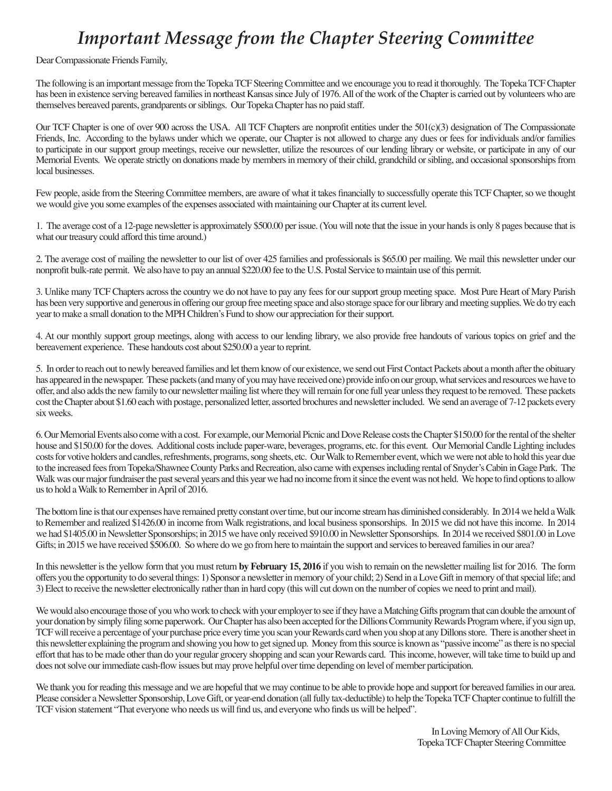## *Important Message from the Chapter Steering Committee*

Dear Compassionate Friends Family,

The following is an important message from the Topeka TCF Steering Committee and we encourage you to read it thoroughly. The Topeka TCF Chapter has been in existence serving bereaved families in northeast Kansas since July of 1976. All of the work of the Chapter is carried out by volunteers who are themselves bereaved parents, grandparents or siblings. Our Topeka Chapter has no paid staff.

Our TCF Chapter is one of over 900 across the USA. All TCF Chapters are nonprofit entities under the 501(c)(3) designation of The Compassionate Friends, Inc. According to the bylaws under which we operate, our Chapter is not allowed to charge any dues or fees for individuals and/or families to participate in our support group meetings, receive our newsletter, utilize the resources of our lending library or website, or participate in any of our Memorial Events. We operate strictly on donations made by members in memory of their child, grandchild or sibling, and occasional sponsorships from local businesses.

Few people, aside from the Steering Committee members, are aware of what it takes financially to successfully operate this TCF Chapter, so we thought we would give you some examples of the expenses associated with maintaining our Chapter at its current level.

1. The average cost of a 12-page newsletter is approximately \$500.00 per issue. (You will note that the issue in your hands is only 8 pages because that is what our treasury could afford this time around.)

2. The average cost of mailing the newsletter to our list of over 425 families and professionals is \$65.00 per mailing. We mail this newsletter under our nonprofit bulk-rate permit. We also have to pay an annual \$220.00 fee to the U.S. Postal Service to maintain use of this permit.

3. Unlike many TCF Chapters across the country we do not have to pay any fees for our support group meeting space. Most Pure Heart of Mary Parish has been very supportive and generous in offering our group free meeting space and also storage space for our library and meeting supplies. We do try each year to make a small donation to the MPH Children's Fund to show our appreciation for their support.

4. At our monthly support group meetings, along with access to our lending library, we also provide free handouts of various topics on grief and the bereavement experience. These handouts cost about \$250.00 a year to reprint.

5. In order to reach out to newly bereaved families and let them know of our existence, we send out First Contact Packets about a month after the obituary has appeared in the newspaper. These packets (and many of you may have received one) provide info on our group, what services and resources we have to offer, and also adds the new family to our newsletter mailing list where they will remain for one full year unless they request to be removed. These packets cost the Chapter about \$1.60 each with postage, personalized letter, assorted brochures and newsletter included. We send an average of 7-12 packets every six weeks.

6. Our Memorial Events also come with a cost. For example, our Memorial Picnic and Dove Release costs the Chapter \$150.00 for the rental of the shelter house and \$150.00 for the doves. Additional costs include paper-ware, beverages, programs, etc. for this event. Our Memorial Candle Lighting includes costs for votive holders and candles, refreshments, programs, song sheets, etc. Our Walk to Remember event, which we were not able to hold this year due to the increased fees from Topeka/Shawnee County Parks and Recreation, also came with expenses including rental of Snyder's Cabin in Gage Park. The Walk was our major fundraiser the past several years and this year we had no income from it since the event was not held. We hope to find options to allow us to hold a Walk to Remember in April of 2016.

The bottom line is that our expenses have remained pretty constant over time, but our income stream has diminished considerably. In 2014 we held a Walk to Remember and realized \$1426.00 in income from Walk registrations, and local business sponsorships. In 2015 we did not have this income. In 2014 we had \$1405.00 in Newsletter Sponsorships; in 2015 we have only received \$910.00 in Newsletter Sponsorships. In 2014 we received \$801.00 in Love Gifts; in 2015 we have received \$506.00. So where do we go from here to maintain the support and services to bereaved families in our area?

In this newsletter is the yellow form that you must return **by February 15, 2016** if you wish to remain on the newsletter mailing list for 2016. The form offers you the opportunity to do several things: 1) Sponsor a newsletter in memory of your child; 2) Send in a Love Gift in memory of that special life; and 3) Elect to receive the newsletter electronically rather than in hard copy (this will cut down on the number of copies we need to print and mail).

We would also encourage those of you who work to check with your employer to see if they have a Matching Gifts program that can double the amount of your donation by simply filing some paperwork. Our Chapter has also been accepted for the Dillions Community Rewards Program where, if you sign up, TCF will receive a percentage of your purchase price every time you scan your Rewards card when you shop at any Dillons store. There is another sheet in this newsletter explaining the program and showing you how to get signed up. Money from this source is known as "passive income" as there is no special effort that has to be made other than do your regular grocery shopping and scan your Rewards card. This income, however, will take time to build up and does not solve our immediate cash-flow issues but may prove helpful over time depending on level of member participation.

We thank you for reading this message and we are hopeful that we may continue to be able to provide hope and support for bereaved families in our area. Please consider a Newsletter Sponsorship, Love Gift, or year-end donation (all fully tax-deductible) to help the Topeka TCF Chapter continue to fulfill the TCF vision statement "That everyone who needs us will find us, and everyone who finds us will be helped".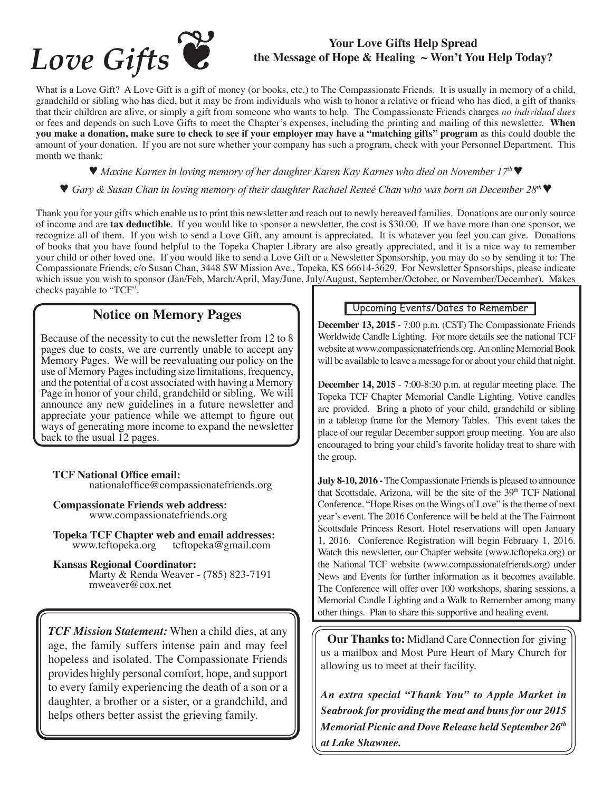

# **the Message of Hope & Healing ~ Won't You Help Today?**

What is a Love Gift? A Love Gift is a gift of money (or books, etc.) to The Compassionate Friends. It is usually in memory of a child, grandchild or sibling who has died, but it may be from individuals who wish to honor a relative or friend who has died, a gift of thanks that their children are alive, or simply a gift from someone who wants to help. The Compassionate Friends charges *no individual dues*  or fees and depends on such Love Gifts to meet the Chapter's expenses, including the printing and mailing of this newsletter. **When you make a donation, make sure to check to see if your employer may have a "matching gifts" program** as this could double the amount of your donation. If you are not sure whether your company has such a program, check with your Personnel Department. This month we thank:

♥ *Maxine Karnes in loving memory of her daughter Karen Kay Karnes who died on November 17th* ♥

♥ *Gary & Susan Chan in loving memory of their daughter Rachael Reneé Chan who was born on December 28th* ♥

Thank you for your gifts which enable us to print this newsletter and reach out to newly bereaved families. Donations are our only source of income and are **tax deductible**. If you would like to sponsor a newsletter, the cost is \$30.00. If we have more than one sponsor, we recognize all of them. If you wish to send a Love Gift, any amount is appreciated. It is whatever you feel you can give. Donations of books that you have found helpful to the Topeka Chapter Library are also greatly appreciated, and it is a nice way to remember your child or other loved one. If you would like to send a Love Gift or a Newsletter Sponsorship, you may do so by sending it to: The Compassionate Friends, c/o Susan Chan, 3448 SW Mission Ave., Topeka, KS 66614-3629. For Newsletter Spnsorships, please indicate which issue you wish to sponsor (Jan/Feb, March/April, May/June, July/August, September/October, or November/December). Makes checks payable to "TCF".

### **Notice on Memory Pages**

Because of the necessity to cut the newsletter from 12 to 8 pages due to costs, we are currently unable to accept any Memory Pages. We will be reevaluating our policy on the use of Memory Pages including size limitations, frequency, and the potential of a cost associated with having a Memory Page in honor of your child, grandchild or sibling. We will announce any new guidelines in a future newsletter and appreciate your patience while we attempt to figure out ways of generating more income to expand the newsletter back to the usual 12 pages.

**TCF National Office email:** nationaloffice@compassionatefriends.org

**Compassionate Friends web address:** www.compassionatefriends.org

**Topeka TCF Chapter web and email addresses:**<br>www.tcftopeka.org tcftopeka@gmail.com tcftopeka@gmail.com

**Kansas Regional Coordinator:** Marty & Renda Weaver - (785) 823-7191 mweaver@cox.net

*TCF Mission Statement:* When a child dies, at any age, the family suffers intense pain and may feel hopeless and isolated. The Compassionate Friends provides highly personal comfort, hope, and support to every family experiencing the death of a son or a daughter, a brother or a sister, or a grandchild, and helps others better assist the grieving family.

### Upcoming Events/Dates to Remember

**December 13, 2015** - 7:00 p.m. (CST) The Compassionate Friends Worldwide Candle Lighting. For more details see the national TCF website at www.compassionatefriends.org. An online Memorial Book will be available to leave a message for or about your child that night.

**December 14, 2015** - 7:00-8:30 p.m. at regular meeting place. The Topeka TCF Chapter Memorial Candle Lighting. Votive candles are provided. Bring a photo of your child, grandchild or sibling in a tabletop frame for the Memory Tables. This event takes the place of our regular December support group meeting. You are also encouraged to bring your child's favorite holiday treat to share with the group.

**July 8-10, 2016 -** The Compassionate Friends is pleased to announce that Scottsdale, Arizona, will be the site of the 39<sup>th</sup> TCF National Conference. "Hope Rises on the Wings of Love" is the theme of next year's event. The 2016 Conference will be held at the The Fairmont Scottsdale Princess Resort. Hotel reservations will open January 1, 2016. Conference Registration will begin February 1, 2016. Watch this newsletter, our Chapter website (www.tcftopeka.org) or the National TCF website (www.compassionatefriends.org) under News and Events for further information as it becomes available. The Conference will offer over 100 workshops, sharing sessions, a Memorial Candle Lighting and a Walk to Remember among many other things. Plan to share this supportive and healing event.

 **Our Thanks to:** Midland Care Connection for giving us a mailbox and Most Pure Heart of Mary Church for allowing us to meet at their facility.

*An extra special "Thank You" to Apple Market in Seabrook for providing the meat and buns for our 2015 Memorial Picnic and Dove Release held September 26th at Lake Shawnee.*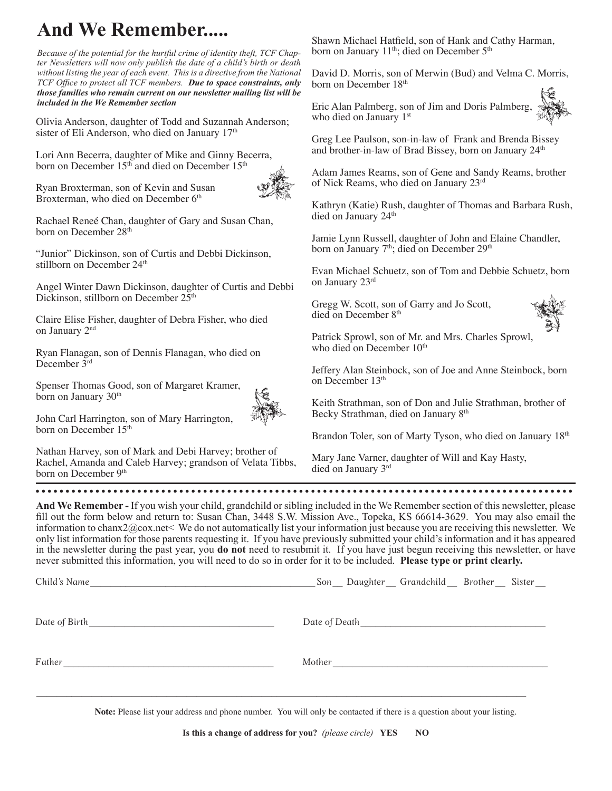## **And We Remember.....**

*Because of the potential for the hurtful crime of identity theft, TCF Chapter Newsletters will now only publish the date of a child's birth or death without listing the year of each event. This is a directive from the National TCF Office to protect all TCF members. Due to space constraints, only those families who remain current on our newsletter mailing list will be included in the We Remember section*

Olivia Anderson, daughter of Todd and Suzannah Anderson; sister of Eli Anderson, who died on January 17<sup>th</sup>

Lori Ann Becerra, daughter of Mike and Ginny Becerra, born on December 15<sup>th</sup> and died on December 15<sup>th</sup>

Ryan Broxterman, son of Kevin and Susan Broxterman, who died on December 6<sup>th</sup>



Rachael Reneé Chan, daughter of Gary and Susan Chan, born on December 28<sup>th</sup>

"Junior" Dickinson, son of Curtis and Debbi Dickinson, stillborn on December 24<sup>th</sup>

Angel Winter Dawn Dickinson, daughter of Curtis and Debbi Dickinson, stillborn on December  $25<sup>th</sup>$ 

Claire Elise Fisher, daughter of Debra Fisher, who died on January 2nd

Ryan Flanagan, son of Dennis Flanagan, who died on December 3rd

Spenser Thomas Good, son of Margaret Kramer, born on January 30<sup>th</sup>



John Carl Harrington, son of Mary Harrington, born on December 15<sup>th</sup>

Nathan Harvey, son of Mark and Debi Harvey; brother of Rachel, Amanda and Caleb Harvey; grandson of Velata Tibbs, born on December 9<sup>th</sup>

Shawn Michael Hatfield, son of Hank and Cathy Harman, born on January 11<sup>th</sup>; died on December 5<sup>th</sup>

David D. Morris, son of Merwin (Bud) and Velma C. Morris, born on December 18<sup>th</sup>

Eric Alan Palmberg, son of Jim and Doris Palmberg, who died on January 1<sup>st</sup>

Greg Lee Paulson, son-in-law of Frank and Brenda Bissey and brother-in-law of Brad Bissey, born on January 24<sup>th</sup>

Adam James Reams, son of Gene and Sandy Reams, brother of Nick Reams, who died on January 23rd

Kathryn (Katie) Rush, daughter of Thomas and Barbara Rush, died on January 24<sup>th</sup>

Jamie Lynn Russell, daughter of John and Elaine Chandler, born on January 7<sup>th</sup>; died on December 29<sup>th</sup>

Evan Michael Schuetz, son of Tom and Debbie Schuetz, born on January 23rd

Gregg W. Scott, son of Garry and Jo Scott, died on December 8<sup>th</sup>



Patrick Sprowl, son of Mr. and Mrs. Charles Sprowl, who died on December 10<sup>th</sup>

Jeffery Alan Steinbock, son of Joe and Anne Steinbock, born on December 13<sup>th</sup>

Keith Strathman, son of Don and Julie Strathman, brother of Becky Strathman, died on January 8<sup>th</sup>

Brandon Toler, son of Marty Tyson, who died on January 18<sup>th</sup>

Mary Jane Varner, daughter of Will and Kay Hasty, died on January 3rd

**And We Remember -** If you wish your child, grandchild or sibling included in the We Remember section of this newsletter, please fill out the form below and return to: Susan Chan, 3448 S.W. Mission Ave., Topeka, KS 66614-3629. You may also email the information to chanx2@cox.net< We do not automatically list your information just because you are receiving this newsletter. We only list information for those parents requesting it. If you have previously submitted your child's information and it has appeared in the newsletter during the past year, you **do not** need to resubmit it. If you have just begun receiving this newsletter, or have never submitted this information, you will need to do so in order for it to be included. **Please type or print clearly.**

| Child's Name  | Son Daughter Grandchild Brother Sister |
|---------------|----------------------------------------|
| Date of Birth | Date of Death                          |
| Father        | Mother                                 |

 $\mathcal{L}_\mathcal{L} = \{ \mathcal{L}_\mathcal{L} = \{ \mathcal{L}_\mathcal{L} = \{ \mathcal{L}_\mathcal{L} = \{ \mathcal{L}_\mathcal{L} = \{ \mathcal{L}_\mathcal{L} = \{ \mathcal{L}_\mathcal{L} = \{ \mathcal{L}_\mathcal{L} = \{ \mathcal{L}_\mathcal{L} = \{ \mathcal{L}_\mathcal{L} = \{ \mathcal{L}_\mathcal{L} = \{ \mathcal{L}_\mathcal{L} = \{ \mathcal{L}_\mathcal{L} = \{ \mathcal{L}_\mathcal{L} = \{ \mathcal{L}_\mathcal{$ 

**Note:** Please list your address and phone number. You will only be contacted if there is a question about your listing.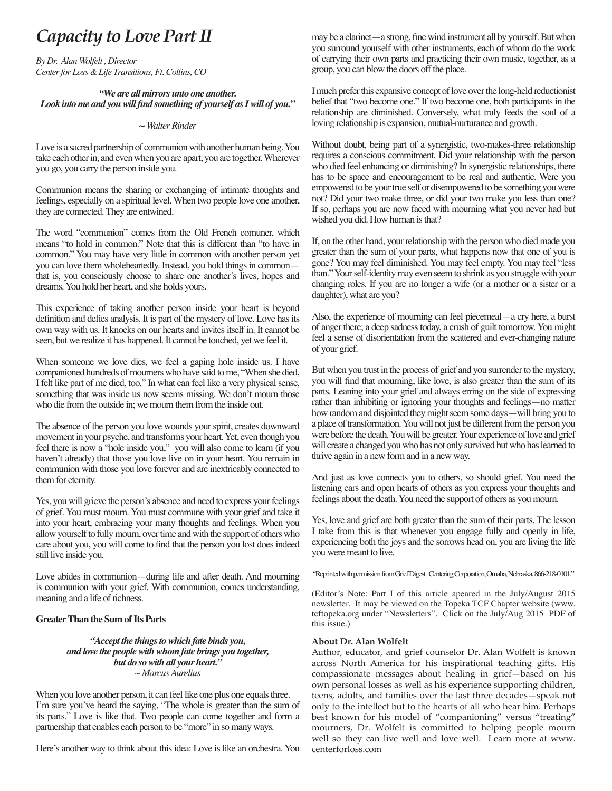## *Capacity to Love Part II*

*By Dr. Alan Wolfelt , Director Center for Loss & Life Transitions, Ft. Collins, CO*

#### *"We are all mirrors unto one another. Look into me and you will find something of yourself as I will of you."*

#### *~ Walter Rinder*

Love is a sacred partnership of communion with another human being. You take each other in, and even when you are apart, you are together. Wherever you go, you carry the person inside you.

Communion means the sharing or exchanging of intimate thoughts and feelings, especially on a spiritual level. When two people love one another, they are connected. They are entwined.

The word "communion" comes from the Old French comuner, which means "to hold in common." Note that this is different than "to have in common." You may have very little in common with another person yet you can love them wholeheartedly. Instead, you hold things in common that is, you consciously choose to share one another's lives, hopes and dreams. You hold her heart, and she holds yours.

This experience of taking another person inside your heart is beyond definition and defies analysis. It is part of the mystery of love. Love has its own way with us. It knocks on our hearts and invites itself in. It cannot be seen, but we realize it has happened. It cannot be touched, yet we feel it.

When someone we love dies, we feel a gaping hole inside us. I have companioned hundreds of mourners who have said to me, "When she died, I felt like part of me died, too." In what can feel like a very physical sense, something that was inside us now seems missing. We don't mourn those who die from the outside in; we mourn them from the inside out.

The absence of the person you love wounds your spirit, creates downward movement in your psyche, and transforms your heart. Yet, even though you feel there is now a "hole inside you," you will also come to learn (if you haven't already) that those you love live on in your heart. You remain in communion with those you love forever and are inextricably connected to them for eternity.

Yes, you will grieve the person's absence and need to express your feelings of grief. You must mourn. You must commune with your grief and take it into your heart, embracing your many thoughts and feelings. When you allow yourself to fully mourn, over time and with the support of others who care about you, you will come to find that the person you lost does indeed still live inside you.

Love abides in communion—during life and after death. And mourning is communion with your grief. With communion, comes understanding, meaning and a life of richness.

#### **Greater Than the Sum of Its Parts**

#### *"Accept the things to which fate binds you, and love the people with whom fate brings you together, but do so with all your heart." ~ Marcus Aurelius*

When you love another person, it can feel like one plus one equals three. I'm sure you've heard the saying, "The whole is greater than the sum of its parts." Love is like that. Two people can come together and form a partnership that enables each person to be "more" in so many ways.

Here's another way to think about this idea: Love is like an orchestra. You

may be a clarinet—a strong, fine wind instrument all by yourself. But when you surround yourself with other instruments, each of whom do the work of carrying their own parts and practicing their own music, together, as a group, you can blow the doors off the place.

I much prefer this expansive concept of love over the long-held reductionist belief that "two become one." If two become one, both participants in the relationship are diminished. Conversely, what truly feeds the soul of a loving relationship is expansion, mutual-nurturance and growth.

Without doubt, being part of a synergistic, two-makes-three relationship requires a conscious commitment. Did your relationship with the person who died feel enhancing or diminishing? In synergistic relationships, there has to be space and encouragement to be real and authentic. Were you empowered to be your true self or disempowered to be something you were not? Did your two make three, or did your two make you less than one? If so, perhaps you are now faced with mourning what you never had but wished you did. How human is that?

If, on the other hand, your relationship with the person who died made you greater than the sum of your parts, what happens now that one of you is gone? You may feel diminished. You may feel empty. You may feel "less than." Your self-identity may even seem to shrink as you struggle with your changing roles. If you are no longer a wife (or a mother or a sister or a daughter), what are you?

Also, the experience of mourning can feel piecemeal—a cry here, a burst of anger there; a deep sadness today, a crush of guilt tomorrow. You might feel a sense of disorientation from the scattered and ever-changing nature of your grief.

But when you trust in the process of grief and you surrender to the mystery, you will find that mourning, like love, is also greater than the sum of its parts. Leaning into your grief and always erring on the side of expressing rather than inhibiting or ignoring your thoughts and feelings—no matter how random and disjointed they might seem some days—will bring you to a place of transformation. You will not just be different from the person you were before the death. You will be greater. Your experience of love and grief will create a changed you who has not only survived but who has learned to thrive again in a new form and in a new way.

And just as love connects you to others, so should grief. You need the listening ears and open hearts of others as you express your thoughts and feelings about the death. You need the support of others as you mourn.

Yes, love and grief are both greater than the sum of their parts. The lesson I take from this is that whenever you engage fully and openly in life, experiencing both the joys and the sorrows head on, you are living the life you were meant to live.

"Reprinted with permission from Grief Digest. Centering Corporation, Omaha, Nebraska, 866-218-0101."

(Editor's Note: Part I of this article apeared in the July/August 2015 newsletter. It may be viewed on the Topeka TCF Chapter website (www. tcftopeka.org under "Newsletters". Click on the July/Aug 2015 PDF of this issue.)

#### **About Dr. Alan Wolfelt**

Author, educator, and grief counselor Dr. Alan Wolfelt is known across North America for his inspirational teaching gifts. His compassionate messages about healing in grief—based on his own personal losses as well as his experience supporting children, teens, adults, and families over the last three decades—speak not only to the intellect but to the hearts of all who hear him. Perhaps best known for his model of "companioning" versus "treating" mourners, Dr. Wolfelt is committed to helping people mourn well so they can live well and love well. Learn more at www. centerforloss.com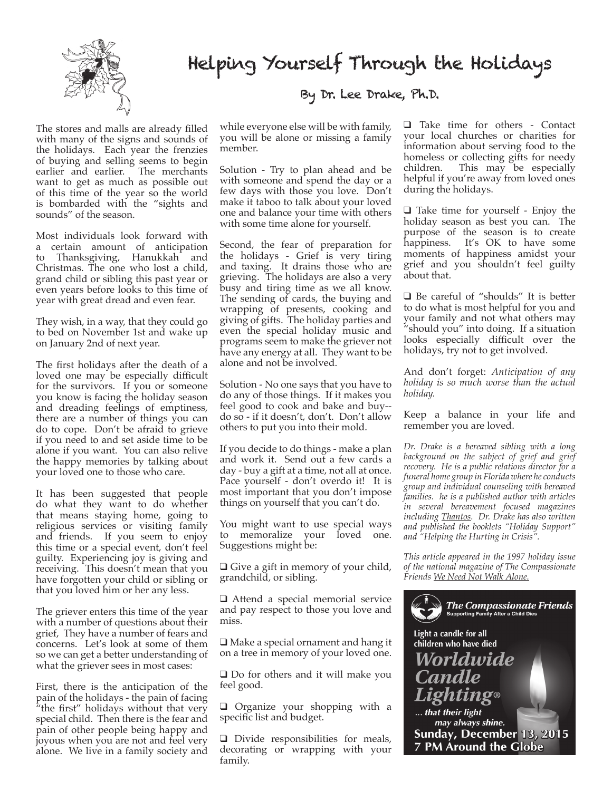

## Helping Yourself Through the Holidays

The stores and malls are already filled with many of the signs and sounds of the holidays. Each year the frenzies of buying and selling seems to begin<br>earlier and earlier. The merchants earlier and earlier. want to get as much as possible out of this time of the year so the world is bombarded with the "sights and sounds" of the season.

Most individuals look forward with a certain amount of anticipation to Thanksgiving, Hanukkah and Christmas. The one who lost a child, grand child or sibling this past year or even years before looks to this time of year with great dread and even fear.

They wish, in a way, that they could go to bed on November 1st and wake up on January 2nd of next year.

The first holidays after the death of a loved one may be especially difficult for the survivors. If you or someone you know is facing the holiday season and dreading feelings of emptiness, there are a number of things you can do to cope. Don't be afraid to grieve if you need to and set aside time to be alone if you want. You can also relive the happy memories by talking about your loved one to those who care.

It has been suggested that people do what they want to do whether that means staying home, going to religious services or visiting family and friends. If you seem to enjoy this time or a special event, don't feel guilty. Experiencing joy is giving and receiving. This doesn't mean that you have forgotten your child or sibling or that you loved him or her any less.

The griever enters this time of the year with a number of questions about their grief, They have a number of fears and concerns. Let's look at some of them so we can get a better understanding of what the griever sees in most cases:

First, there is the anticipation of the pain of the holidays - the pain of facing "the first" holidays without that very special child. Then there is the fear and pain of other people being happy and joyous when you are not and feel very alone. We live in a family society and

### By Dr. Lee Drake, Ph.D.

while everyone else will be with family, you will be alone or missing a family member.

Solution - Try to plan ahead and be with someone and spend the day or a few days with those you love. Don't make it taboo to talk about your loved one and balance your time with others with some time alone for yourself.

Second, the fear of preparation for the holidays - Grief is very tiring and taxing. It drains those who are grieving. The holidays are also a very busy and tiring time as we all know. The sending of cards, the buying and wrapping of presents, cooking and giving of gifts. The holiday parties and even the special holiday music and programs seem to make the griever not have any energy at all. They want to be alone and not be involved.

Solution - No one says that you have to do any of those things. If it makes you feel good to cook and bake and buy- do so - if it doesn't, don't. Don't allow others to put you into their mold.

If you decide to do things - make a plan and work it. Send out a few cards a day - buy a gift at a time, not all at once. Pace yourself - don't overdo it! It is most important that you don't impose things on yourself that you can't do.

You might want to use special ways to memoralize your loved one. Suggestions might be:

 $\Box$  Give a gift in memory of your child, grandchild, or sibling.

 $\Box$  Attend a special memorial service and pay respect to those you love and miss.

 $\Box$  Make a special ornament and hang it on a tree in memory of your loved one.

 $\square$  Do for others and it will make you feel good.

 $\Box$  Organize your shopping with a specific list and budget.

 $\Box$  Divide responsibilities for meals, decorating or wrapping with your family.

 $\Box$  Take time for others - Contact your local churches or charities for information about serving food to the homeless or collecting gifts for needy children. This may be especially helpful if you're away from loved ones during the holidays.

 $\Box$  Take time for yourself - Enjoy the holiday season as best you can. The purpose of the season is to create happiness. It's OK to have some moments of happiness amidst your grief and you shouldn't feel guilty about that.

 $\Box$  Be careful of "shoulds" It is better to do what is most helpful for you and your family and not what others may "should you" into doing. If a situation looks especially difficult over the holidays, try not to get involved.

And don't forget: *Anticipation of any holiday is so much worse than the actual holiday.*

Keep a balance in your life and remember you are loved.

*Dr. Drake is a bereaved sibling with a long background on the subject of grief and grief recovery. He is a public relations director for a funeral home group in Florida where he conducts group and individual counseling with bereaved families. he is a published author with articles in several bereavement focused magazines including Thantos. Dr. Drake has also written and published the booklets "Holiday Support" and "Helping the Hurting in Crisis".*

*This article appeared in the 1997 holiday issue of the national magazine of The Compassionate Friends We Need Not Walk Alone.*

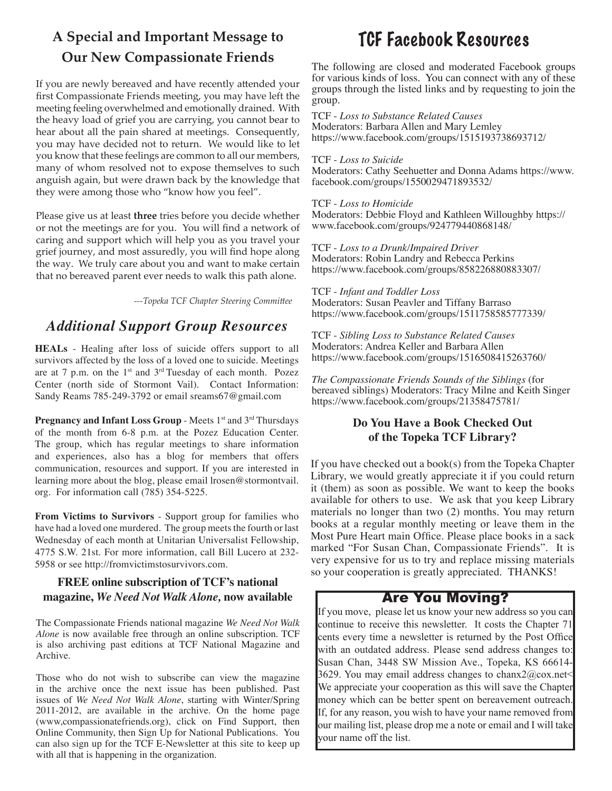## **A Special and Important Message to Our New Compassionate Friends**

If you are newly bereaved and have recently attended your first Compassionate Friends meeting, you may have left the meeting feeling overwhelmed and emotionally drained. With the heavy load of grief you are carrying, you cannot bear to hear about all the pain shared at meetings. Consequently, you may have decided not to return. We would like to let you know that these feelings are common to all our members, many of whom resolved not to expose themselves to such anguish again, but were drawn back by the knowledge that they were among those who "know how you feel".

Please give us at least **three** tries before you decide whether or not the meetings are for you. You will find a network of caring and support which will help you as you travel your grief journey, and most assuredly, you will find hope along the way. We truly care about you and want to make certain that no bereaved parent ever needs to walk this path alone.

*---Topeka TCF Chapter Steering Committee*

## *Additional Support Group Resources*

**HEALs** - Healing after loss of suicide offers support to all survivors affected by the loss of a loved one to suicide. Meetings are at 7 p.m. on the  $1<sup>st</sup>$  and  $3<sup>rd</sup>$  Tuesday of each month. Pozez Center (north side of Stormont Vail). Contact Information: Sandy Reams 785-249-3792 or email sreams67@gmail.com

**Pregnancy and Infant Loss Group** - Meets 1<sup>st</sup> and 3<sup>rd</sup> Thursdays of the month from 6-8 p.m. at the Pozez Education Center. The group, which has regular meetings to share information and experiences, also has a blog for members that offers communication, resources and support. If you are interested in learning more about the blog, please email lrosen@stormontvail. org. For information call (785) 354-5225.

**From Victims to Survivors** - Support group for families who have had a loved one murdered. The group meets the fourth or last Wednesday of each month at Unitarian Universalist Fellowship, 4775 S.W. 21st. For more information, call Bill Lucero at 232- 5958 or see http://fromvictimstosurvivors.com.

#### **FREE online subscription of TCF's national magazine,** *We Need Not Walk Alone,* **now available**

The Compassionate Friends national magazine *We Need Not Walk Alone* is now available free through an online subscription. TCF is also archiving past editions at TCF National Magazine and Archive.

Those who do not wish to subscribe can view the magazine in the archive once the next issue has been published. Past issues of *We Need Not Walk Alone*, starting with Winter/Spring 2011-2012, are available in the archive. On the home page (www,compassionatefriends.org), click on Find Support, then Online Community, then Sign Up for National Publications. You can also sign up for the TCF E-Newsletter at this site to keep up with all that is happening in the organization.

## TCF Facebook Resources

The following are closed and moderated Facebook groups for various kinds of loss. You can connect with any of these groups through the listed links and by requesting to join the group.

TCF - *Loss to Substance Related Causes* Moderators: Barbara Allen and Mary Lemley https://www.facebook.com/groups/1515193738693712/

#### TCF - *Loss to Suicide*

Moderators: Cathy Seehuetter and Donna Adams https://www. facebook.com/groups/1550029471893532/

#### TCF - *Loss to Homicide*

Moderators: Debbie Floyd and Kathleen Willoughby https:// www.facebook.com/groups/924779440868148/

TCF - *Loss to a Drunk/Impaired Driver* Moderators: Robin Landry and Rebecca Perkins https://www.facebook.com/groups/858226880883307/

TCF - *Infant and Toddler Loss* Moderators: Susan Peavler and Tiffany Barraso https://www.facebook.com/groups/1511758585777339/

TCF - *Sibling Loss to Substance Related Causes* Moderators: Andrea Keller and Barbara Allen https://www.facebook.com/groups/1516508415263760/

*The Compassionate Friends Sounds of the Siblings* (for bereaved siblings) Moderators: Tracy Milne and Keith Singer https://www.facebook.com/groups/21358475781/

### **Do You Have a Book Checked Out of the Topeka TCF Library?**

If you have checked out a book(s) from the Topeka Chapter Library, we would greatly appreciate it if you could return it (them) as soon as possible. We want to keep the books available for others to use. We ask that you keep Library materials no longer than two (2) months. You may return books at a regular monthly meeting or leave them in the Most Pure Heart main Office. Please place books in a sack marked "For Susan Chan, Compassionate Friends". It is very expensive for us to try and replace missing materials so your cooperation is greatly appreciated. THANKS!

### Are You Moving?

If you move, please let us know your new address so you can continue to receive this newsletter. It costs the Chapter 71 cents every time a newsletter is returned by the Post Office with an outdated address. Please send address changes to: Susan Chan, 3448 SW Mission Ave., Topeka, KS 66614- 3629. You may email address changes to chanx $2@cos.net$ We appreciate your cooperation as this will save the Chapter money which can be better spent on bereavement outreach. If, for any reason, you wish to have your name removed from our mailing list, please drop me a note or email and I will take your name off the list.